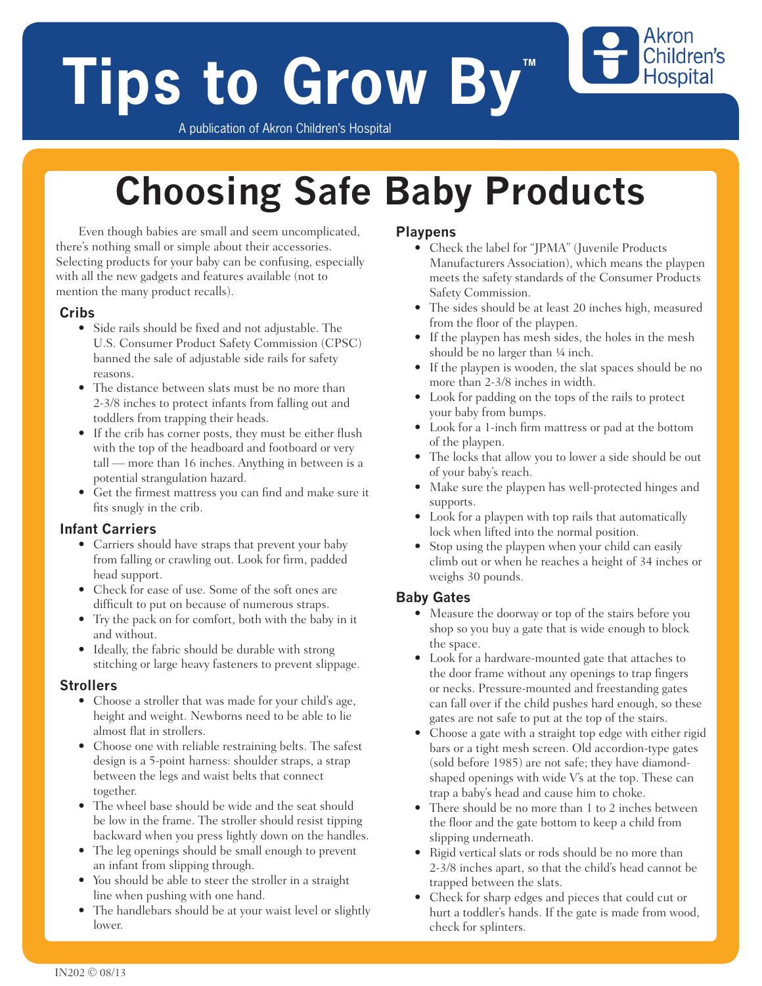# **Tips to Grow By**

A publication of Akron Children's Hospital

## **Choosing Safe Baby Products**

Even though babies are small and seem uncomplicated, there's nothing small or simple about their accessories. Selecting products for your baby can be confusing, especially with all the new gadgets and features available (not to mention the many product recalls).

#### **Cribs**

- Side rails should be fixed and not adjustable. The U.S. Consumer Product Safety Commission (CPSC) banned the sale of adjustable side rails for safety reasons.
- The distance between slats must be no more than 2-3/8 inches to protect infants from falling out and toddlers from trapping their heads.
- If the crib has corner posts, they must be either flush with the top of the headboard and footboard or very tall — more than 16 inches. Anything in between is a potential strangulation hazard.
- Get the firmest mattress you can find and make sure it fits snugly in the crib.

#### **Infant Carriers**

- Carriers should have straps that prevent your baby from falling or crawling out. Look for firm, padded head support.
- Check for ease of use. Some of the soft ones are difficult to put on because of numerous straps.
- Try the pack on for comfort, both with the baby in it and without.
- Ideally, the fabric should be durable with strong stitching or large heavy fasteners to prevent slippage.

#### **Strollers**

- Choose a stroller that was made for your child's age, height and weight. Newborns need to be able to lie almost flat in strollers.
- Choose one with reliable restraining belts. The safest design is a 5-point harness: shoulder straps, a strap between the legs and waist belts that connect together.
- The wheel base should be wide and the seat should be low in the frame. The stroller should resist tipping backward when you press lightly down on the handles.
- The leg openings should be small enough to prevent an infant from slipping through.
- You should be able to steer the stroller in a straight line when pushing with one hand.
- The handlebars should be at your waist level or slightly lower.

#### **Playpens**

• Check the label for "JPMA" (Juvenile Products Manufacturers Association), which means the playpen meets the safety standards of the Consumer Products Safety Commission.

Akron Children's **Hospital** 

- The sides should be at least 20 inches high, measured from the floor of the playpen.
- If the playpen has mesh sides, the holes in the mesh should be no larger than 1/4 inch.
- If the playpen is wooden, the slat spaces should be no more than 2-3/8 inches in width.
- Look for padding on the tops of the rails to protect your baby from bumps.
- Look for a 1-inch firm mattress or pad at the bottom of the playpen.
- The locks that allow you to lower a side should be out of your baby's reach.
- Make sure the playpen has well-protected hinges and supports.
- Look for a playpen with top rails that automatically lock when lifted into the normal position.
- Stop using the playpen when your child can easily climb out or when he reaches a height of 34 inches or weighs 30 pounds.

#### **Baby Gates**

- Measure the doorway or top of the stairs before you shop so you buy a gate that is wide enough to block the space.
- Look for a hardware-mounted gate that attaches to the door frame without any openings to trap fingers or necks. Pressure-mounted and freestanding gates can fall over if the child pushes hard enough, so these gates are not safe to put at the top of the stairs.
- Choose a gate with a straight top edge with either rigid bars or a tight mesh screen. Old accordion-type gates (sold before 1985) are not safe; they have diamondshaped openings with wide V's at the top. These can trap a baby's head and cause him to choke.
- There should be no more than 1 to 2 inches between the floor and the gate bottom to keep a child from slipping underneath.
- Rigid vertical slats or rods should be no more than 2-3/8 inches apart, so that the child's head cannot be trapped between the slats.
- Check for sharp edges and pieces that could cut or hurt a toddler's hands. If the gate is made from wood, check for splinters.